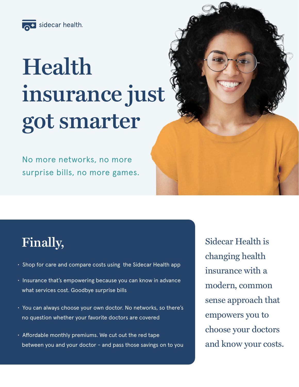

# **Health insurance just got smarter**

No more networks, no more surprise bills, no more games.

# **Finally,**

- Shop for care and compare costs using the Sidecar Health app
- Insurance that's empowering because you can know in advance what services cost. Goodbye surprise bills
- You can always choose your own doctor. No networks, so there's no question whether your favorite doctors are covered
- Affordable monthly premiums. We cut out the red tape between you and your doctor - and pass those savings on to you

Sidecar Health is changing health insurance with a modern, common sense approach that empowers you to choose your doctors and know your costs.